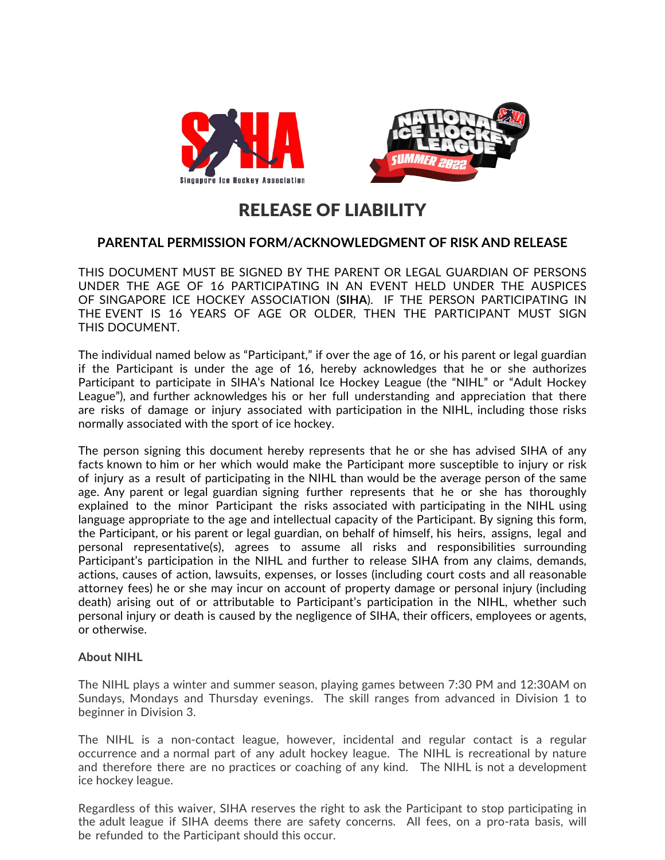



## RELEASE OF LIABILITY

## **PARENTAL PERMISSION FORM/ACKNOWLEDGMENT OF RISK AND RELEASE**

THIS DOCUMENT MUST BE SIGNED BY THE PARENT OR LEGAL GUARDIAN OF PERSONS UNDER THE AGE OF 16 PARTICIPATING IN AN EVENT HELD UNDER THE AUSPICES OF SINGAPORE ICE HOCKEY ASSOCIATION (**SIHA**). IF THE PERSON PARTICIPATING IN THE EVENT IS 16 YEARS OF AGE OR OLDER, THEN THE PARTICIPANT MUST SIGN THIS DOCUMENT.

The individual named below as "Participant," if over the age of 16, or his parent or legal guardian if the Participant is under the age of 16, hereby acknowledges that he or she authorizes Participant to participate in SIHA's National Ice Hockey League (the "NIHL" or "Adult Hockey League"), and further acknowledges his or her full understanding and appreciation that there are risks of damage or injury associated with participation in the NIHL, including those risks normally associated with the sport of ice hockey.

The person signing this document hereby represents that he or she has advised SIHA of any facts known to him or her which would make the Participant more susceptible to injury or risk of injury as a result of participating in the NIHL than would be the average person of the same age. Any parent or legal guardian signing further represents that he or she has thoroughly explained to the minor Participant the risks associated with participating in the NIHL using language appropriate to the age and intellectual capacity of the Participant. By signing this form, the Participant, or his parent or legal guardian, on behalf of himself, his heirs, assigns, legal and personal representative(s), agrees to assume all risks and responsibilities surrounding Participant's participation in the NIHL and further to release SIHA from any claims, demands, actions, causes of action, lawsuits, expenses, or losses (including court costs and all reasonable attorney fees) he or she may incur on account of property damage or personal injury (including death) arising out of or attributable to Participant's participation in the NIHL, whether such personal injury or death is caused by the negligence of SIHA, their officers, employees or agents, or otherwise.

## **About NIHL**

The NIHL plays a winter and summer season, playing games between 7:30 PM and 12:30AM on Sundays, Mondays and Thursday evenings. The skill ranges from advanced in Division 1 to beginner in Division 3.

The NIHL is a non-contact league, however, incidental and regular contact is a regular occurrence and a normal part of any adult hockey league. The NIHL is recreational by nature and therefore there are no practices or coaching of any kind. The NIHL is not a development ice hockey league.

Regardless of this waiver, SIHA reserves the right to ask the Participant to stop participating in the adult league if SIHA deems there are safety concerns. All fees, on a pro-rata basis, will be refunded to the Participant should this occur.